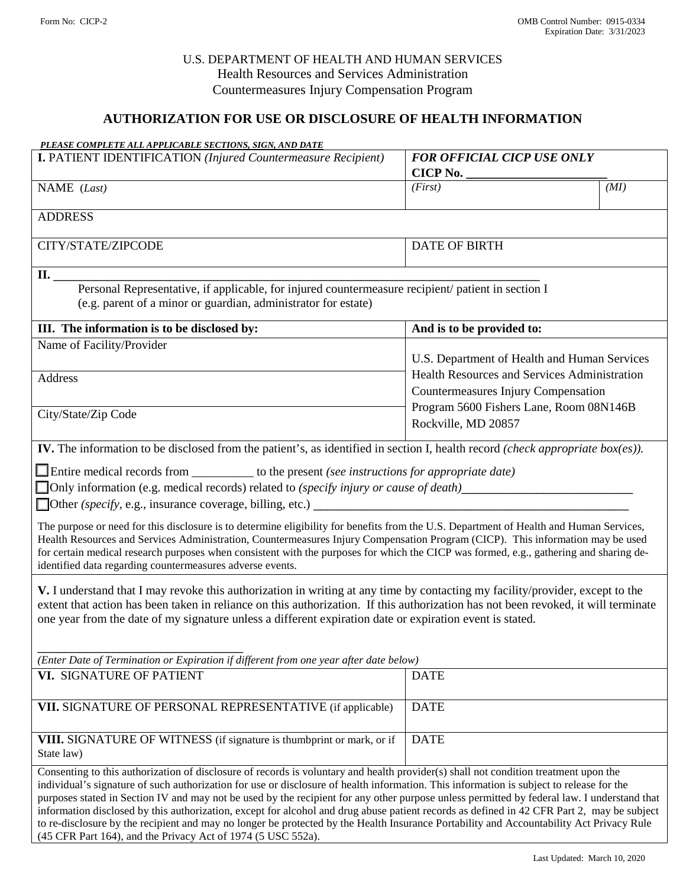### U.S. DEPARTMENT OF HEALTH AND HUMAN SERVICES Health Resources and Services Administration Countermeasures Injury Compensation Program

## **AUTHORIZATION FOR USE OR DISCLOSURE OF HEALTH INFORMATION**

| PLEASE COMPLETE ALL APPLICABLE SECTIONS, SIGN, AND DATE                                                                                                                                                                                                                                                                                                                                                                                                                                                                                                                                                                                                                                                                                                                                   |                                                                                                                                                              |      |
|-------------------------------------------------------------------------------------------------------------------------------------------------------------------------------------------------------------------------------------------------------------------------------------------------------------------------------------------------------------------------------------------------------------------------------------------------------------------------------------------------------------------------------------------------------------------------------------------------------------------------------------------------------------------------------------------------------------------------------------------------------------------------------------------|--------------------------------------------------------------------------------------------------------------------------------------------------------------|------|
| <b>I. PATIENT IDENTIFICATION (Injured Countermeasure Recipient)</b>                                                                                                                                                                                                                                                                                                                                                                                                                                                                                                                                                                                                                                                                                                                       | <b>FOR OFFICIAL CICP USE ONLY</b>                                                                                                                            |      |
|                                                                                                                                                                                                                                                                                                                                                                                                                                                                                                                                                                                                                                                                                                                                                                                           | <b>CICP No.</b>                                                                                                                                              |      |
| NAME (Last)                                                                                                                                                                                                                                                                                                                                                                                                                                                                                                                                                                                                                                                                                                                                                                               | (First)                                                                                                                                                      | (MI) |
| <b>ADDRESS</b>                                                                                                                                                                                                                                                                                                                                                                                                                                                                                                                                                                                                                                                                                                                                                                            |                                                                                                                                                              |      |
| CITY/STATE/ZIPCODE                                                                                                                                                                                                                                                                                                                                                                                                                                                                                                                                                                                                                                                                                                                                                                        | <b>DATE OF BIRTH</b>                                                                                                                                         |      |
| II.                                                                                                                                                                                                                                                                                                                                                                                                                                                                                                                                                                                                                                                                                                                                                                                       |                                                                                                                                                              |      |
| Personal Representative, if applicable, for injured countermeasure recipient/ patient in section I<br>(e.g. parent of a minor or guardian, administrator for estate)                                                                                                                                                                                                                                                                                                                                                                                                                                                                                                                                                                                                                      |                                                                                                                                                              |      |
| III. The information is to be disclosed by:                                                                                                                                                                                                                                                                                                                                                                                                                                                                                                                                                                                                                                                                                                                                               | And is to be provided to:                                                                                                                                    |      |
| Name of Facility/Provider                                                                                                                                                                                                                                                                                                                                                                                                                                                                                                                                                                                                                                                                                                                                                                 |                                                                                                                                                              |      |
|                                                                                                                                                                                                                                                                                                                                                                                                                                                                                                                                                                                                                                                                                                                                                                                           | U.S. Department of Health and Human Services                                                                                                                 |      |
| Address                                                                                                                                                                                                                                                                                                                                                                                                                                                                                                                                                                                                                                                                                                                                                                                   | <b>Health Resources and Services Administration</b><br>Countermeasures Injury Compensation<br>Program 5600 Fishers Lane, Room 08N146B<br>Rockville, MD 20857 |      |
| City/State/Zip Code                                                                                                                                                                                                                                                                                                                                                                                                                                                                                                                                                                                                                                                                                                                                                                       |                                                                                                                                                              |      |
| IV. The information to be disclosed from the patient's, as identified in section I, health record (check appropriate $box(es)$ ).                                                                                                                                                                                                                                                                                                                                                                                                                                                                                                                                                                                                                                                         |                                                                                                                                                              |      |
| $\Box$ Entire medical records from $\_\_\_\_\_\_\_\$ to the present (see instructions for appropriate date)                                                                                                                                                                                                                                                                                                                                                                                                                                                                                                                                                                                                                                                                               |                                                                                                                                                              |      |
| □ Only information (e.g. medical records) related to (specify injury or cause of death)                                                                                                                                                                                                                                                                                                                                                                                                                                                                                                                                                                                                                                                                                                   |                                                                                                                                                              |      |
|                                                                                                                                                                                                                                                                                                                                                                                                                                                                                                                                                                                                                                                                                                                                                                                           |                                                                                                                                                              |      |
| The purpose or need for this disclosure is to determine eligibility for benefits from the U.S. Department of Health and Human Services,<br>Health Resources and Services Administration, Countermeasures Injury Compensation Program (CICP). This information may be used<br>for certain medical research purposes when consistent with the purposes for which the CICP was formed, e.g., gathering and sharing de-<br>identified data regarding countermeasures adverse events.                                                                                                                                                                                                                                                                                                          |                                                                                                                                                              |      |
| V. I understand that I may revoke this authorization in writing at any time by contacting my facility/provider, except to the                                                                                                                                                                                                                                                                                                                                                                                                                                                                                                                                                                                                                                                             |                                                                                                                                                              |      |
| extent that action has been taken in reliance on this authorization. If this authorization has not been revoked, it will terminate                                                                                                                                                                                                                                                                                                                                                                                                                                                                                                                                                                                                                                                        |                                                                                                                                                              |      |
| one year from the date of my signature unless a different expiration date or expiration event is stated.                                                                                                                                                                                                                                                                                                                                                                                                                                                                                                                                                                                                                                                                                  |                                                                                                                                                              |      |
|                                                                                                                                                                                                                                                                                                                                                                                                                                                                                                                                                                                                                                                                                                                                                                                           |                                                                                                                                                              |      |
| (Enter Date of Termination or Expiration if different from one year after date below)                                                                                                                                                                                                                                                                                                                                                                                                                                                                                                                                                                                                                                                                                                     |                                                                                                                                                              |      |
| VI. SIGNATURE OF PATIENT                                                                                                                                                                                                                                                                                                                                                                                                                                                                                                                                                                                                                                                                                                                                                                  | <b>DATE</b>                                                                                                                                                  |      |
|                                                                                                                                                                                                                                                                                                                                                                                                                                                                                                                                                                                                                                                                                                                                                                                           |                                                                                                                                                              |      |
| VII. SIGNATURE OF PERSONAL REPRESENTATIVE (if applicable)                                                                                                                                                                                                                                                                                                                                                                                                                                                                                                                                                                                                                                                                                                                                 | <b>DATE</b>                                                                                                                                                  |      |
| VIII. SIGNATURE OF WITNESS (if signature is thumbprint or mark, or if<br>State law)                                                                                                                                                                                                                                                                                                                                                                                                                                                                                                                                                                                                                                                                                                       | <b>DATE</b>                                                                                                                                                  |      |
| Consenting to this authorization of disclosure of records is voluntary and health provider(s) shall not condition treatment upon the<br>individual's signature of such authorization for use or disclosure of health information. This information is subject to release for the<br>purposes stated in Section IV and may not be used by the recipient for any other purpose unless permitted by federal law. I understand that<br>information disclosed by this authorization, except for alcohol and drug abuse patient records as defined in 42 CFR Part 2, may be subject<br>to re-disclosure by the recipient and may no longer be protected by the Health Insurance Portability and Accountability Act Privacy Rule<br>(45 CFR Part 164), and the Privacy Act of 1974 (5 USC 552a). |                                                                                                                                                              |      |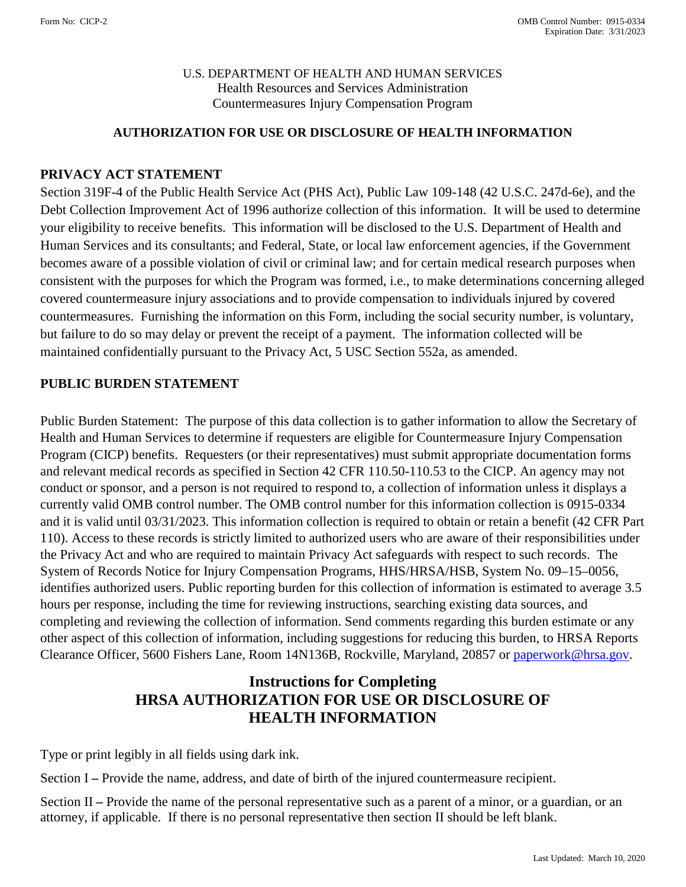### U.S. DEPARTMENT OF HEALTH AND HUMAN SERVICES Health Resources and Services Administration Countermeasures Injury Compensation Program

### **AUTHORIZATION FOR USE OR DISCLOSURE OF HEALTH INFORMATION**

### **PRIVACY ACT STATEMENT**

Section 319F-4 of the Public Health Service Act (PHS Act), Public Law 109-148 (42 U.S.C. 247d-6e), and the Debt Collection Improvement Act of 1996 authorize collection of this information. It will be used to determine your eligibility to receive benefits. This information will be disclosed to the U.S. Department of Health and Human Services and its consultants; and Federal, State, or local law enforcement agencies, if the Government becomes aware of a possible violation of civil or criminal law; and for certain medical research purposes when consistent with the purposes for which the Program was formed, i.e., to make determinations concerning alleged covered countermeasure injury associations and to provide compensation to individuals injured by covered countermeasures. Furnishing the information on this Form, including the social security number, is voluntary, but failure to do so may delay or prevent the receipt of a payment. The information collected will be maintained confidentially pursuant to the Privacy Act, 5 USC Section 552a, as amended.

#### **PUBLIC BURDEN STATEMENT**

Public Burden Statement: The purpose of this data collection is to gather information to allow the Secretary of Health and Human Services to determine if requesters are eligible for Countermeasure Injury Compensation Program (CICP) benefits. Requesters (or their representatives) must submit appropriate documentation forms and relevant medical records as specified in Section 42 CFR 110.50-110.53 to the CICP. An agency may not conduct or sponsor, and a person is not required to respond to, a collection of information unless it displays a currently valid OMB control number. The OMB control number for this information collection is 0915-0334 and it is valid until 03/31/2023. This information collection is required to obtain or retain a benefit (42 CFR Part 110). Access to these records is strictly limited to authorized users who are aware of their responsibilities under the Privacy Act and who are required to maintain Privacy Act safeguards with respect to such records. The System of Records Notice for Injury Compensation Programs, HHS/HRSA/HSB, System No. 09–15–0056, identifies authorized users. Public reporting burden for this collection of information is estimated to average 3.5 hours per response, including the time for reviewing instructions, searching existing data sources, and completing and reviewing the collection of information. Send comments regarding this burden estimate or any other aspect of this collection of information, including suggestions for reducing this burden, to HRSA Reports Clearance Officer, 5600 Fishers Lane, Room 14N136B, Rockville, Maryland, 20857 or [paperwork@hrsa.gov.](mailto:paperwork@hrsa.gov)

# **Instructions for Completing HRSA AUTHORIZATION FOR USE OR DISCLOSURE OF HEALTH INFORMATION**

Type or print legibly in all fields using dark ink.

Section I **–** Provide the name, address, and date of birth of the injured countermeasure recipient.

Section II **–** Provide the name of the personal representative such as a parent of a minor, or a guardian, or an attorney, if applicable. If there is no personal representative then section II should be left blank.